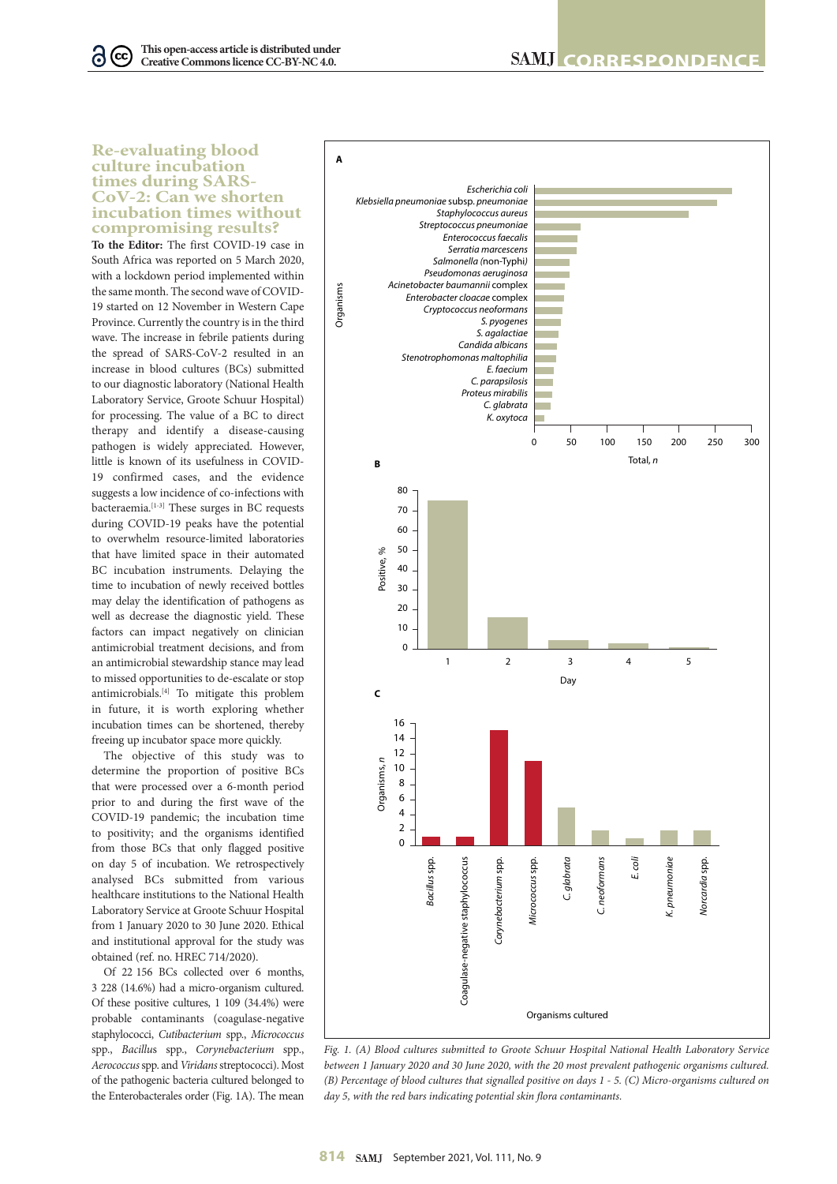## **Re-evaluating blood culture incubation times during SARS-CoV-2: Can we shorten incubation times without compromising results?**

 $\bullet$ 

**To the Editor:** The first COVID-19 case in South Africa was reported on 5 March 2020, with a lockdown period implemented within the same month. The second wave of COVID-19 started on 12 November in Western Cape Province. Currently the country is in the third wave. The increase in febrile patients during the spread of SARS-CoV-2 resulted in an increase in blood cultures (BCs) submitted to our diagnostic laboratory (National Health Laboratory Service, Groote Schuur Hospital) for processing. The value of a BC to direct therapy and identify a disease-causing pathogen is widely appreciated. However, little is known of its usefulness in COVID-19 confirmed cases, and the evidence suggests a low incidence of co-infections with bacteraemia.<sup>[1-3]</sup> These surges in BC requests during COVID-19 peaks have the potential to overwhelm resource-limited laboratories that have limited space in their automated BC incubation instruments. Delaying the time to incubation of newly received bottles may delay the identification of pathogens as well as decrease the diagnostic yield. These factors can impact negatively on clinician antimicrobial treatment decisions, and from an antimicrobial stewardship stance may lead to missed opportunities to de-escalate or stop antimicrobials.[4] To mitigate this problem in future, it is worth exploring whether incubation times can be shortened, thereby freeing up incubator space more quickly.

The objective of this study was to determine the proportion of positive BCs that were processed over a 6-month period prior to and during the first wave of the COVID-19 pandemic; the incubation time to positivity; and the organisms identified from those BCs that only flagged positive on day 5 of incubation. We retrospectively analysed BCs submitted from various healthcare institutions to the National Health Laboratory Service at Groote Schuur Hospital from 1 January 2020 to 30 June 2020. Ethical and institutional approval for the study was obtained (ref. no. HREC 714/2020).

Of 22 156 BCs collected over 6 months, 3 228 (14.6%) had a micro-organism cultured. Of these positive cultures, 1 109 (34.4%) were probable contaminants (coagulase-negative staphylococci, *Cutibacterium* spp., *Micrococcus*  spp., *Bacillu*s spp., *Corynebacterium* spp., *Aerococcus* spp. and *Viridans* streptococci). Most of the pathogenic bacteria cultured belonged to the Enterobacterales order (Fig. 1A). The mean



*Fig. 1. (A) Blood cultures submitted to Groote Schuur Hospital National Health Laboratory Service between 1 January 2020 and 30 June 2020, with the 20 most prevalent pathogenic organisms cultured. (B) Percentage of blood cultures that signalled positive on days 1 - 5. (C) Micro-organisms cultured on day 5, with the red bars indicating potential skin flora contaminants.*